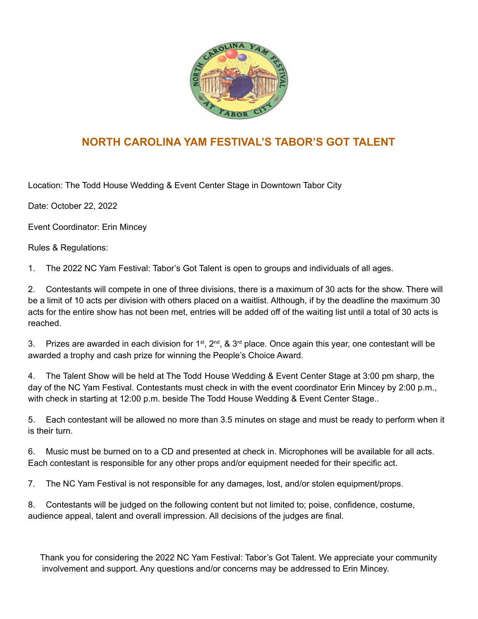

## **NORTH CAROLINA YAM FESTIVAL'S TABOR'S GOT TALENT**

Location: The Todd House Wedding & Event Center Stage in Downtown Tabor City

Date: October 22, 2022

Event Coordinator: Erin Mincey

Rules & Regulations:

1. The 2022 NC Yam Festival: Tabor's Got Talent is open to groups and individuals of all ages.

2. Contestants will compete in one of three divisions, there is a maximum of 30 acts for the show. There will be a limit of 10 acts per division with others placed on a waitlist. Although, if by the deadline the maximum 30 acts for the entire show has not been met, entries will be added off of the waiting list until a total of 30 acts is reached.

3. Prizes are awarded in each division for 1<sup>st</sup>, 2<sup>nd</sup>, & 3<sup>rd</sup> place. Once again this year, one contestant will be awarded a trophy and cash prize for winning the People's Choice Award.

4. The Talent Show will be held at The Todd House Wedding & Event Center Stage at 3:00 pm sharp, the day of the NC Yam Festival. Contestants must check in with the event coordinator Erin Mincey by 2:00 p.m., with check in starting at 12:00 p.m. beside The Todd House Wedding & Event Center Stage..

5. Each contestant will be allowed no more than 3.5 minutes on stage and must be ready to perform when it is their turn.

6. Music must be burned on to a CD and presented at check in. Microphones will be available for all acts. Each contestant is responsible for any other props and/or equipment needed for their specific act.

7. The NC Yam Festival is not responsible for any damages, lost, and/or stolen equipment/props.

8. Contestants will be judged on the following content but not limited to; poise, confidence, costume, audience appeal, talent and overall impression. All decisions of the judges are final.

Thank you for considering the 2022 NC Yam Festival: Tabor's Got Talent. We appreciate your community involvement and support. Any questions and/or concerns may be addressed to Erin Mincey.